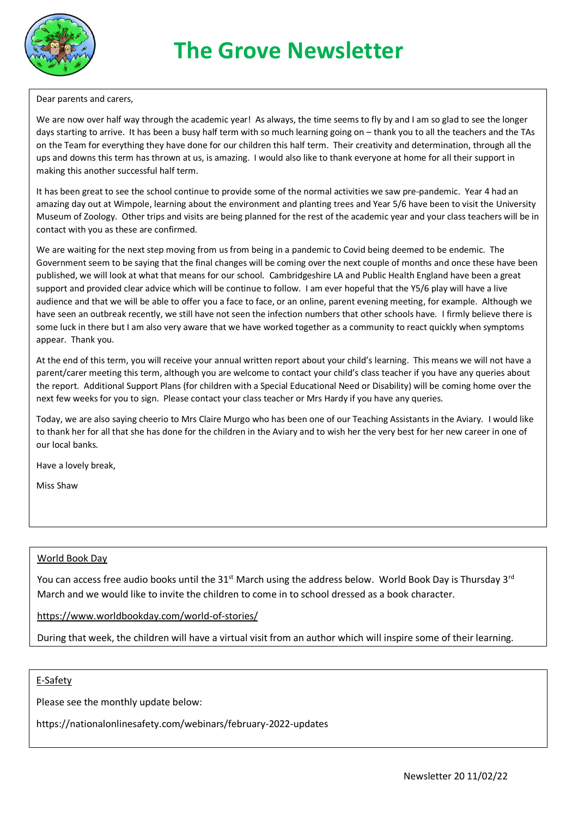

Dear parents and carers,

We are now over half way through the academic year! As always, the time seems to fly by and I am so glad to see the longer days starting to arrive. It has been a busy half term with so much learning going on – thank you to all the teachers and the TAs on the Team for everything they have done for our children this half term. Their creativity and determination, through all the ups and downs this term has thrown at us, is amazing. I would also like to thank everyone at home for all their support in making this another successful half term.

It has been great to see the school continue to provide some of the normal activities we saw pre-pandemic. Year 4 had an amazing day out at Wimpole, learning about the environment and planting trees and Year 5/6 have been to visit the University Museum of Zoology. Other trips and visits are being planned for the rest of the academic year and your class teachers will be in contact with you as these are confirmed.

We are waiting for the next step moving from us from being in a pandemic to Covid being deemed to be endemic. The Government seem to be saying that the final changes will be coming over the next couple of months and once these have been published, we will look at what that means for our school. Cambridgeshire LA and Public Health England have been a great support and provided clear advice which will be continue to follow. I am ever hopeful that the Y5/6 play will have a live audience and that we will be able to offer you a face to face, or an online, parent evening meeting, for example. Although we have seen an outbreak recently, we still have not seen the infection numbers that other schools have. I firmly believe there is some luck in there but I am also very aware that we have worked together as a community to react quickly when symptoms appear. Thank you.

At the end of this term, you will receive your annual written report about your child's learning. This means we will not have a parent/carer meeting this term, although you are welcome to contact your child's class teacher if you have any queries about the report. Additional Support Plans (for children with a Special Educational Need or Disability) will be coming home over the next few weeks for you to sign. Please contact your class teacher or Mrs Hardy if you have any queries.

Today, we are also saying cheerio to Mrs Claire Murgo who has been one of our Teaching Assistants in the Aviary. I would like to thank her for all that she has done for the children in the Aviary and to wish her the very best for her new career in one of our local banks.

Have a lovely break,

Miss Shaw

#### World Book Day

You can access free audio books until the 31st March using the address below. World Book Day is Thursday 3 $^{rd}$ March and we would like to invite the children to come in to school dressed as a book character.

https://www.worldbookday.com/world-of-stories/

During that week, the children will have a virtual visit from an author which will inspire some of their learning.

### E-Safety

Please see the monthly update below:

https://nationalonlinesafety.com/webinars/february-2022-updates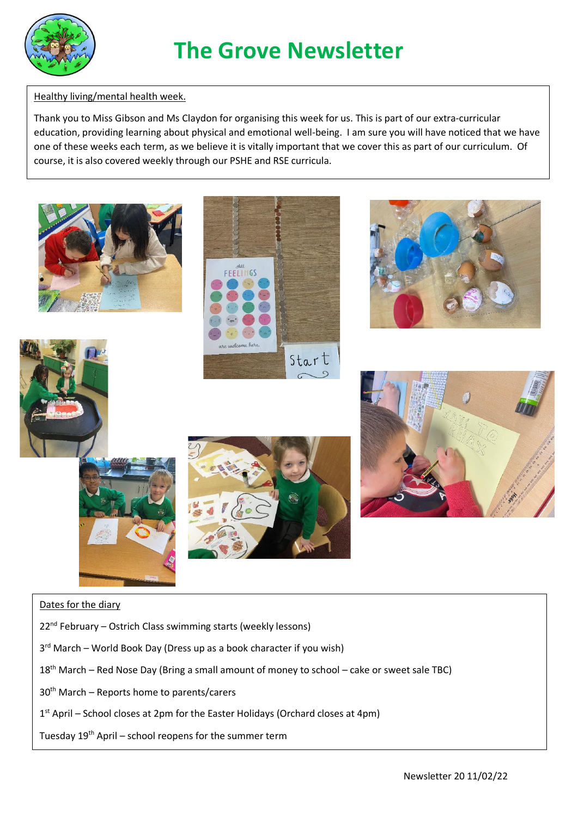

# **The Grove Newsletter**

### Healthy living/mental health week.

Thank you to Miss Gibson and Ms Claydon for organising this week for us. This is part of our extra-curricular education, providing learning about physical and emotional well-being. I am sure you will have noticed that we have one of these weeks each term, as we believe it is vitally important that we cover this as part of our curriculum. Of course, it is also covered weekly through our PSHE and RSE curricula.



Tuesday  $19<sup>th</sup>$  April – school reopens for the summer term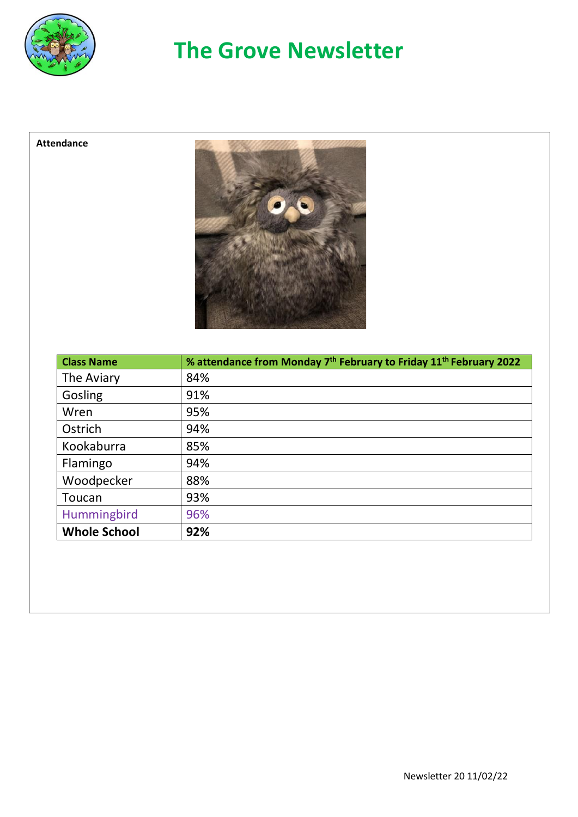

# **The Grove Newsletter**

### **Attendance**



| <b>Class Name</b>   | % attendance from Monday 7 <sup>th</sup> February to Friday 11 <sup>th</sup> February 2022 |
|---------------------|--------------------------------------------------------------------------------------------|
| The Aviary          | 84%                                                                                        |
| Gosling             | 91%                                                                                        |
| Wren                | 95%                                                                                        |
| Ostrich             | 94%                                                                                        |
| Kookaburra          | 85%                                                                                        |
| Flamingo            | 94%                                                                                        |
| Woodpecker          | 88%                                                                                        |
| Toucan              | 93%                                                                                        |
| Hummingbird         | 96%                                                                                        |
| <b>Whole School</b> | 92%                                                                                        |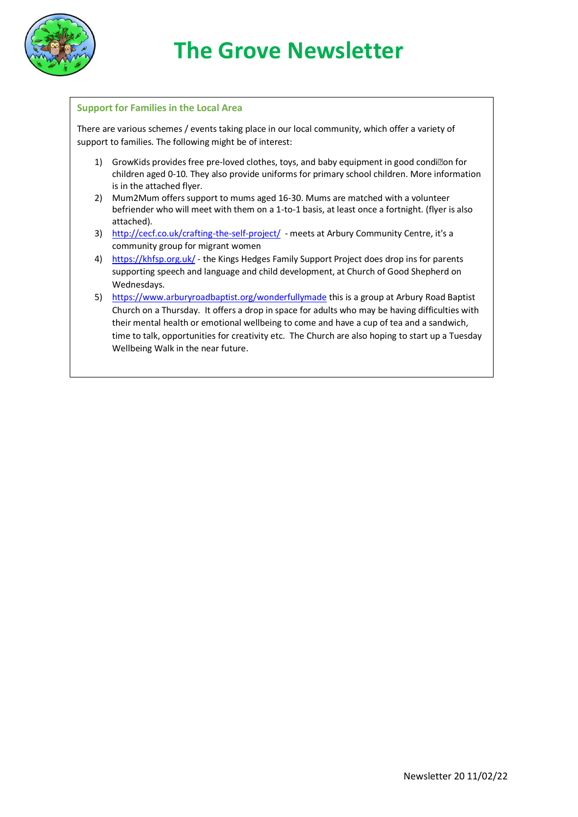

#### **Support for Families in the Local Area**

There are various schemes / events taking place in our local community, which offer a variety of support to families. The following might be of interest:

- 1) GrowKids provides free pre-loved clothes, toys, and baby equipment in good condi $\mathbb{D}$ on for children aged 0-10. They also provide uniforms for primary school children. More information is in the attached flyer.
- 2) Mum2Mum offers support to mums aged 16-30. Mums are matched with a volunteer befriender who will meet with them on a 1-to-1 basis, at least once a fortnight. (flyer is also attached).
- 3) <http://cecf.co.uk/crafting-the-self-project/> meets at Arbury Community Centre, it's a community group for migrant women
- 4) <https://khfsp.org.uk/> the Kings Hedges Family Support Project does drop ins for parents supporting speech and language and child development, at Church of Good Shepherd on Wednesdays.
- 5) <https://www.arburyroadbaptist.org/wonderfullymade> this is a group at Arbury Road Baptist Church on a Thursday. It offers a drop in space for adults who may be having difficulties with their mental health or emotional wellbeing to come and have a cup of tea and a sandwich, time to talk, opportunities for creativity etc. The Church are also hoping to start up a Tuesday Wellbeing Walk in the near future.